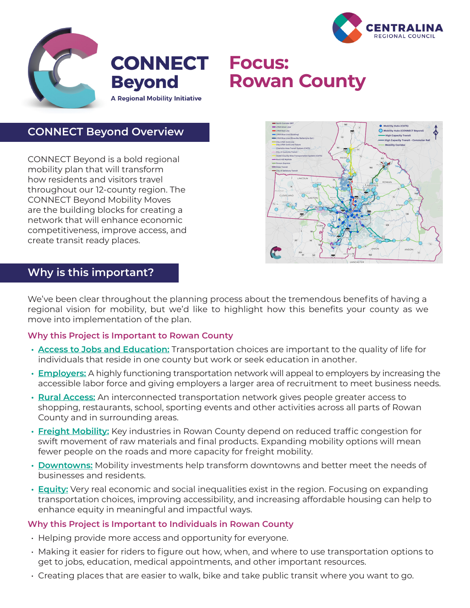



# **Focus: Rowan County**

## **CONNECT Beyond Overview**

CONNECT Beyond is a bold regional mobility plan that will transform how residents and visitors travel throughout our 12-county region. The CONNECT Beyond Mobility Moves are the building blocks for creating a network that will enhance economic competitiveness, improve access, and create transit ready places.



## **Why is this important?**

We've been clear throughout the planning process about the tremendous benefits of having a regional vision for mobility, but we'd like to highlight how this benefits your county as we move into implementation of the plan.

### **Why this Project is Important to Rowan County**

- **• Access to Jobs and Education:** Transportation choices are important to the quality of life for individuals that reside in one county but work or seek education in another.
- **• Employers:** A highly functioning transportation network will appeal to employers by increasing the accessible labor force and giving employers a larger area of recruitment to meet business needs.
- **• Rural Access:** An interconnected transportation network gives people greater access to shopping, restaurants, school, sporting events and other activities across all parts of Rowan County and in surrounding areas.
- **• Freight Mobility:** Key industries in Rowan County depend on reduced traffic congestion for swift movement of raw materials and final products. Expanding mobility options will mean fewer people on the roads and more capacity for freight mobility.
- **• Downtowns:** Mobility investments help transform downtowns and better meet the needs of businesses and residents.
- **• Equity:** Very real economic and social inequalities exist in the region. Focusing on expanding transportation choices, improving accessibility, and increasing affordable housing can help to enhance equity in meaningful and impactful ways.

### **Why this Project is Important to Individuals in Rowan County**

- Helping provide more access and opportunity for everyone.
- Making it easier for riders to figure out how, when, and where to use transportation options to get to jobs, education, medical appointments, and other important resources.
- Creating places that are easier to walk, bike and take public transit where you want to go.